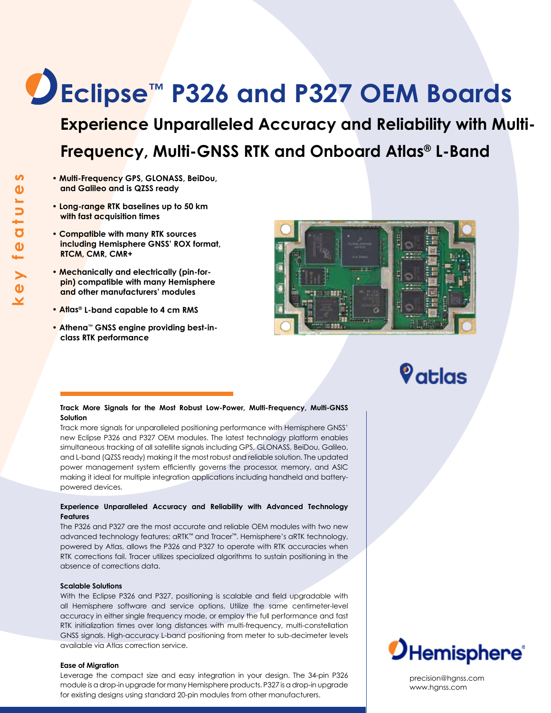# **Eclipse™ P326 and P327 OEM Boards**

**Experience Unparalleled Accuracy and Reliability with Multi-Frequency, Multi-GNSS RTK and Onboard Atlas® L-Band**

- **Multi-Frequency GPS, GLONASS, BeiDou, and Galileo and is QZSS ready**
- **Long-range RTK baselines up to 50 km with fast acquisition times**
- **Compatible with many RTK sources including Hemisphere GNSS' ROX format, RTCM, CMR, CMR+**
- **Mechanically and electrically (pin-forpin) compatible with many Hemisphere and other manufacturers' modules**
- **Atlas® L-band capable to 4 cm RMS**
- **Athena™ GNSS engine providing best-inclass RTK performance**



## $\boldsymbol{\mathsf{\mathsf{Q}}}$ atlas

#### **Track More Signals for the Most Robust Low-Power, Multi-Frequency, Multi-GNSS Solution**

Track more signals for unparalleled positioning performance with Hemisphere GNSS' new Eclipse P326 and P327 OEM modules. The latest technology platform enables simultaneous tracking of all satellite signals including GPS, GLONASS, BeiDou, Galileo, and L-band (QZSS ready) making it the most robust and reliable solution. The updated power management system efficiently governs the processor, memory, and ASIC making it ideal for multiple integration applications including handheld and batterypowered devices.

#### **Experience Unparalleled Accuracy and Reliability with Advanced Technology Features**

The P326 and P327 are the most accurate and reliable OEM modules with two new advanced technology features; aRTK™ and Tracer™. Hemisphere's aRTK technology, powered by Atlas, allows the P326 and P327 to operate with RTK accuracies when RTK corrections fail. Tracer utilizes specialized algorithms to sustain positioning in the absence of corrections data.

#### **Scalable Solutions**

With the Eclipse P326 and P327, positioning is scalable and field upgradable with all Hemisphere software and service options. Utilize the same centimeter-level accuracy in either single frequency mode, or employ the full performance and fast RTK initialization times over long distances with multi-frequency, multi-constellation GNSS signals. High-accuracy L-band positioning from meter to sub-decimeter levels available via Atlas correction service.

#### **Ease of Migration**

Leverage the compact size and easy integration in your design. The 34-pin P326 module is a drop-in upgrade for many Hemisphere products. P327 is a drop-in upgrade for existing designs using standard 20-pin modules from other manufacturers.



precision@hgnss.com www.hgnss.com

<u>ທ</u>